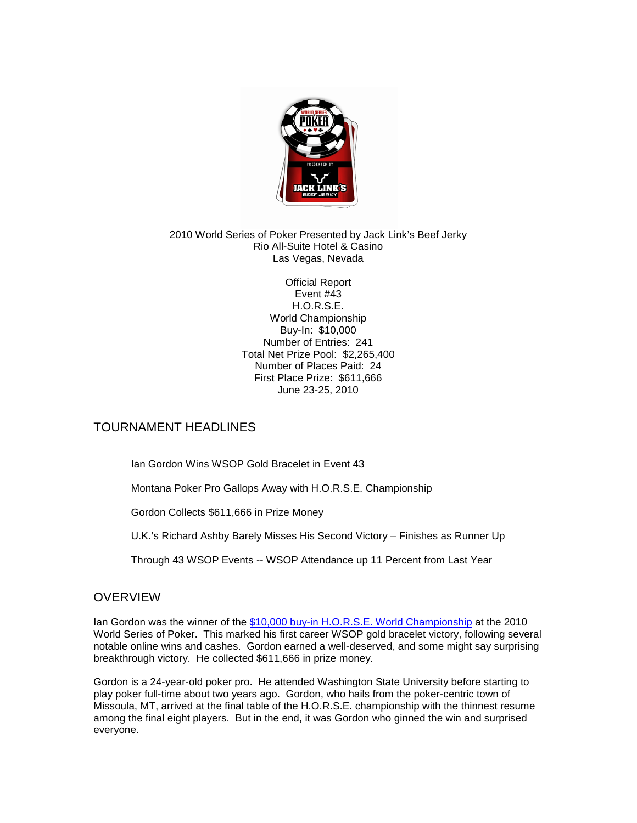

#### 2010 World Series of Poker Presented by Jack Link's Beef Jerky Rio All-Suite Hotel & Casino Las Vegas, Nevada

Official Report Event #43 H.O.R.S.E. World Championship Buy-In: \$10,000 Number of Entries: 241 Total Net Prize Pool: \$2,265,400 Number of Places Paid: 24 First Place Prize: \$611,666 June 23-25, 2010

# TOURNAMENT HEADLINES

Ian Gordon Wins WSOP Gold Bracelet in Event 43

Montana Poker Pro Gallops Away with H.O.R.S.E. Championship

Gordon Collects \$611,666 in Prize Money

U.K.'s Richard Ashby Barely Misses His Second Victory – Finishes as Runner Up

Through 43 WSOP Events -- WSOP Attendance up 11 Percent from Last Year

# **OVERVIEW**

Ian Gordon was the winner of the [\\$10,000 buy-in H.O.R.S.E. World Championship](http://www.wsop.com/tournaments/updates.asp?grid=764&tid=10864) at the 2010 World Series of Poker. This marked his first career WSOP gold bracelet victory, following several notable online wins and cashes. Gordon earned a well-deserved, and some might say surprising breakthrough victory. He collected \$611,666 in prize money.

Gordon is a 24-year-old poker pro. He attended Washington State University before starting to play poker full-time about two years ago. Gordon, who hails from the poker-centric town of Missoula, MT, arrived at the final table of the H.O.R.S.E. championship with the thinnest resume among the final eight players. But in the end, it was Gordon who ginned the win and surprised everyone.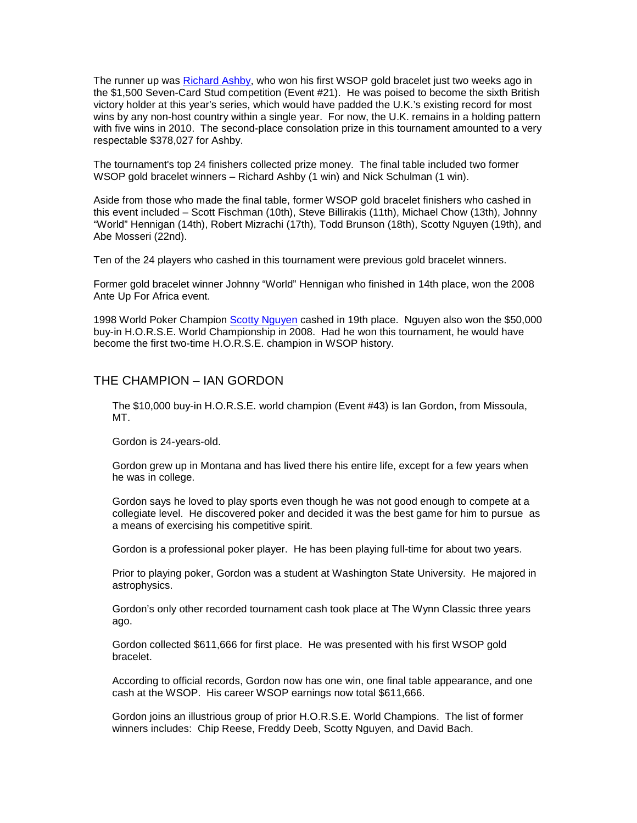The runner up was [Richard Ashby,](http://www.wsop.com/players/playerprofile.asp?playerID=4043) who won his first WSOP gold bracelet just two weeks ago in the \$1,500 Seven-Card Stud competition (Event #21). He was poised to become the sixth British victory holder at this year's series, which would have padded the U.K.'s existing record for most wins by any non-host country within a single year. For now, the U.K. remains in a holding pattern with five wins in 2010. The second-place consolation prize in this tournament amounted to a very respectable \$378,027 for Ashby.

The tournament's top 24 finishers collected prize money. The final table included two former WSOP gold bracelet winners – Richard Ashby (1 win) and Nick Schulman (1 win).

Aside from those who made the final table, former WSOP gold bracelet finishers who cashed in this event included – Scott Fischman (10th), Steve Billirakis (11th), Michael Chow (13th), Johnny "World" Hennigan (14th), Robert Mizrachi (17th), Todd Brunson (18th), Scotty Nguyen (19th), and Abe Mosseri (22nd).

Ten of the 24 players who cashed in this tournament were previous gold bracelet winners.

Former gold bracelet winner Johnny "World" Hennigan who finished in 14th place, won the 2008 Ante Up For Africa event.

1998 World Poker Champion [Scotty Nguyen](http://www.wsop.com/players/playerprofile.asp?playerID=266) cashed in 19th place. Nguyen also won the \$50,000 buy-in H.O.R.S.E. World Championship in 2008. Had he won this tournament, he would have become the first two-time H.O.R.S.E. champion in WSOP history.

### THE CHAMPION – IAN GORDON

The \$10,000 buy-in H.O.R.S.E. world champion (Event #43) is Ian Gordon, from Missoula, MT.

Gordon is 24-years-old.

Gordon grew up in Montana and has lived there his entire life, except for a few years when he was in college.

Gordon says he loved to play sports even though he was not good enough to compete at a collegiate level. He discovered poker and decided it was the best game for him to pursue as a means of exercising his competitive spirit.

Gordon is a professional poker player. He has been playing full-time for about two years.

Prior to playing poker, Gordon was a student at Washington State University. He majored in astrophysics.

Gordon's only other recorded tournament cash took place at The Wynn Classic three years ago.

Gordon collected \$611,666 for first place. He was presented with his first WSOP gold bracelet.

According to official records, Gordon now has one win, one final table appearance, and one cash at the WSOP. His career WSOP earnings now total \$611,666.

Gordon joins an illustrious group of prior H.O.R.S.E. World Champions. The list of former winners includes: Chip Reese, Freddy Deeb, Scotty Nguyen, and David Bach.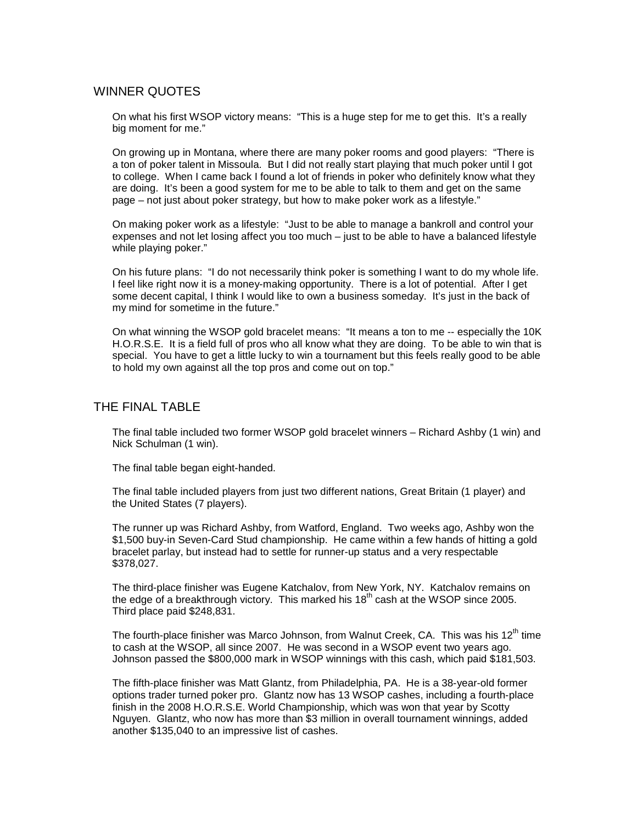### WINNER QUOTES

On what his first WSOP victory means: "This is a huge step for me to get this. It's a really big moment for me."

On growing up in Montana, where there are many poker rooms and good players: "There is a ton of poker talent in Missoula. But I did not really start playing that much poker until I got to college. When I came back I found a lot of friends in poker who definitely know what they are doing. It's been a good system for me to be able to talk to them and get on the same page – not just about poker strategy, but how to make poker work as a lifestyle."

On making poker work as a lifestyle: "Just to be able to manage a bankroll and control your expenses and not let losing affect you too much – just to be able to have a balanced lifestyle while playing poker."

On his future plans: "I do not necessarily think poker is something I want to do my whole life. I feel like right now it is a money-making opportunity. There is a lot of potential. After I get some decent capital, I think I would like to own a business someday. It's just in the back of my mind for sometime in the future."

On what winning the WSOP gold bracelet means: "It means a ton to me -- especially the 10K H.O.R.S.E. It is a field full of pros who all know what they are doing. To be able to win that is special. You have to get a little lucky to win a tournament but this feels really good to be able to hold my own against all the top pros and come out on top."

## THE FINAL TABLE

The final table included two former WSOP gold bracelet winners – Richard Ashby (1 win) and Nick Schulman (1 win).

The final table began eight-handed.

The final table included players from just two different nations, Great Britain (1 player) and the United States (7 players).

The runner up was Richard Ashby, from Watford, England. Two weeks ago, Ashby won the \$1,500 buy-in Seven-Card Stud championship. He came within a few hands of hitting a gold bracelet parlay, but instead had to settle for runner-up status and a very respectable \$378,027.

The third-place finisher was Eugene Katchalov, from New York, NY. Katchalov remains on the edge of a breakthrough victory. This marked his  $18<sup>th</sup>$  cash at the WSOP since 2005. Third place paid \$248,831.

The fourth-place finisher was Marco Johnson, from Walnut Creek, CA. This was his  $12<sup>th</sup>$  time to cash at the WSOP, all since 2007. He was second in a WSOP event two years ago. Johnson passed the \$800,000 mark in WSOP winnings with this cash, which paid \$181,503.

The fifth-place finisher was Matt Glantz, from Philadelphia, PA. He is a 38-year-old former options trader turned poker pro. Glantz now has 13 WSOP cashes, including a fourth-place finish in the 2008 H.O.R.S.E. World Championship, which was won that year by Scotty Nguyen. Glantz, who now has more than \$3 million in overall tournament winnings, added another \$135,040 to an impressive list of cashes.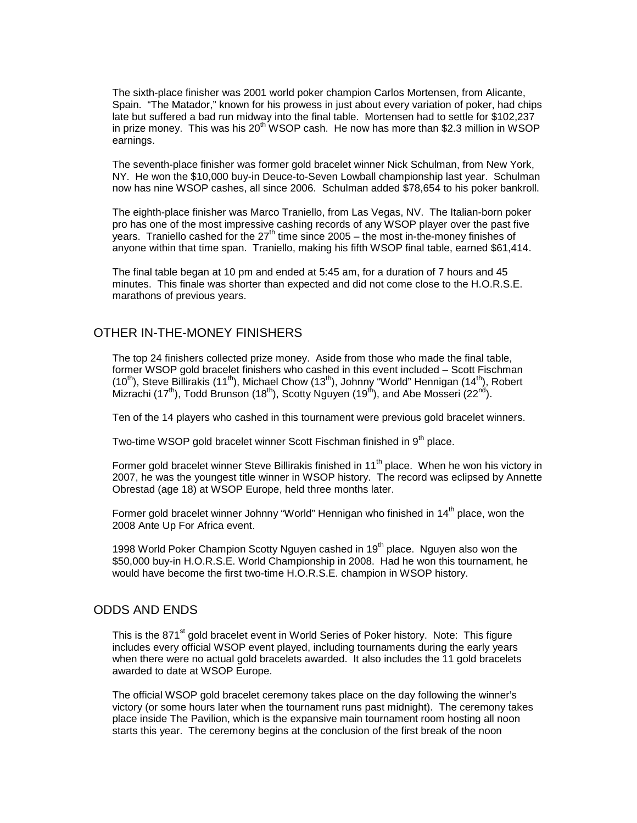The sixth-place finisher was 2001 world poker champion Carlos Mortensen, from Alicante, Spain. "The Matador," known for his prowess in just about every variation of poker, had chips late but suffered a bad run midway into the final table. Mortensen had to settle for \$102,237 in prize money. This was his 20<sup>th</sup> WSOP cash. He now has more than \$2.3 million in WSOP earnings.

The seventh-place finisher was former gold bracelet winner Nick Schulman, from New York, NY. He won the \$10,000 buy-in Deuce-to-Seven Lowball championship last year. Schulman now has nine WSOP cashes, all since 2006. Schulman added \$78,654 to his poker bankroll.

The eighth-place finisher was Marco Traniello, from Las Vegas, NV. The Italian-born poker pro has one of the most impressive cashing records of any WSOP player over the past five years. Traniello cashed for the  $27<sup>th</sup>$  time since 2005 – the most in-the-money finishes of anyone within that time span. Traniello, making his fifth WSOP final table, earned \$61,414.

The final table began at 10 pm and ended at 5:45 am, for a duration of 7 hours and 45 minutes. This finale was shorter than expected and did not come close to the H.O.R.S.E. marathons of previous years.

### OTHER IN-THE-MONEY FINISHERS

The top 24 finishers collected prize money. Aside from those who made the final table, former WSOP gold bracelet finishers who cashed in this event included – Scott Fischman (10<sup>th</sup>), Steve Billirakis (11<sup>th</sup>), Michael Chow (13<sup>th</sup>), Johnny "World" Hennigan (14<sup>th</sup>), Robert Mizrachi (17<sup>th</sup>), Todd Brunson (18<sup>th</sup>), Scotty Nguyen (19<sup>th</sup>), and Abe Mosseri (22<sup>nd</sup>).

Ten of the 14 players who cashed in this tournament were previous gold bracelet winners.

Two-time WSOP gold bracelet winner Scott Fischman finished in 9<sup>th</sup> place.

Former gold bracelet winner Steve Billirakis finished in 11<sup>th</sup> place. When he won his victory in 2007, he was the youngest title winner in WSOP history. The record was eclipsed by Annette Obrestad (age 18) at WSOP Europe, held three months later.

Former gold bracelet winner Johnny "World" Hennigan who finished in 14<sup>th</sup> place, won the 2008 Ante Up For Africa event.

1998 World Poker Champion Scotty Nguyen cashed in  $19<sup>th</sup>$  place. Nguyen also won the \$50,000 buy-in H.O.R.S.E. World Championship in 2008. Had he won this tournament, he would have become the first two-time H.O.R.S.E. champion in WSOP history.

#### ODDS AND ENDS

This is the 871<sup>st</sup> gold bracelet event in World Series of Poker history. Note: This figure includes every official WSOP event played, including tournaments during the early years when there were no actual gold bracelets awarded. It also includes the 11 gold bracelets awarded to date at WSOP Europe.

The official WSOP gold bracelet ceremony takes place on the day following the winner's victory (or some hours later when the tournament runs past midnight). The ceremony takes place inside The Pavilion, which is the expansive main tournament room hosting all noon starts this year. The ceremony begins at the conclusion of the first break of the noon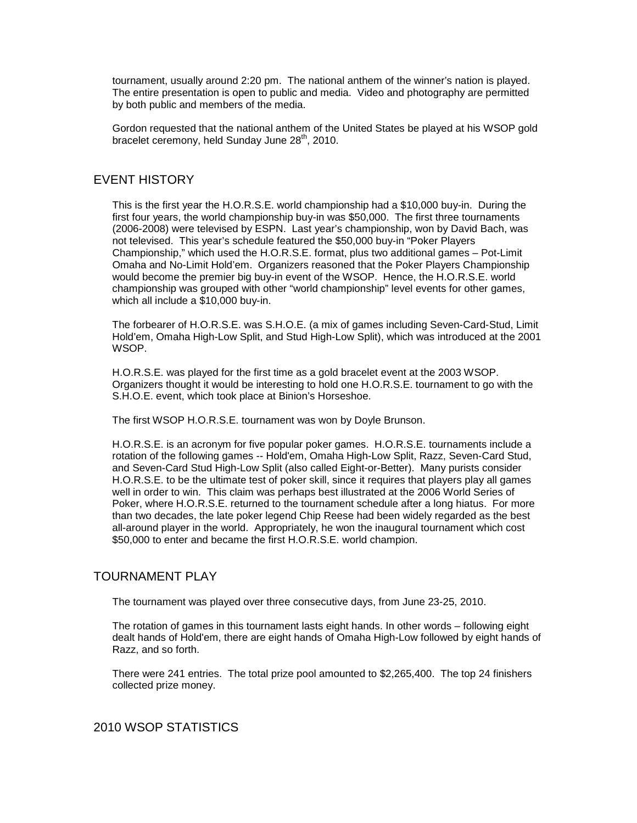tournament, usually around 2:20 pm. The national anthem of the winner's nation is played. The entire presentation is open to public and media. Video and photography are permitted by both public and members of the media.

Gordon requested that the national anthem of the United States be played at his WSOP gold bracelet ceremony, held Sunday June 28<sup>th</sup>, 2010.

# EVENT HISTORY

This is the first year the H.O.R.S.E. world championship had a \$10,000 buy-in. During the first four years, the world championship buy-in was \$50,000. The first three tournaments (2006-2008) were televised by ESPN. Last year's championship, won by David Bach, was not televised. This year's schedule featured the \$50,000 buy-in "Poker Players Championship," which used the H.O.R.S.E. format, plus two additional games – Pot-Limit Omaha and No-Limit Hold'em. Organizers reasoned that the Poker Players Championship would become the premier big buy-in event of the WSOP. Hence, the H.O.R.S.E. world championship was grouped with other "world championship" level events for other games, which all include a \$10,000 buy-in.

The forbearer of H.O.R.S.E. was S.H.O.E. (a mix of games including Seven-Card-Stud, Limit Hold'em, Omaha High-Low Split, and Stud High-Low Split), which was introduced at the 2001 WSOP.

H.O.R.S.E. was played for the first time as a gold bracelet event at the 2003 WSOP. Organizers thought it would be interesting to hold one H.O.R.S.E. tournament to go with the S.H.O.E. event, which took place at Binion's Horseshoe.

The first WSOP H.O.R.S.E. tournament was won by Doyle Brunson.

H.O.R.S.E. is an acronym for five popular poker games. H.O.R.S.E. tournaments include a rotation of the following games -- Hold'em, Omaha High-Low Split, Razz, Seven-Card Stud, and Seven-Card Stud High-Low Split (also called Eight-or-Better). Many purists consider H.O.R.S.E. to be the ultimate test of poker skill, since it requires that players play all games well in order to win. This claim was perhaps best illustrated at the 2006 World Series of Poker, where H.O.R.S.E. returned to the tournament schedule after a long hiatus. For more than two decades, the late poker legend Chip Reese had been widely regarded as the best all-around player in the world. Appropriately, he won the inaugural tournament which cost \$50,000 to enter and became the first H.O.R.S.E. world champion.

## TOURNAMENT PLAY

The tournament was played over three consecutive days, from June 23-25, 2010.

The rotation of games in this tournament lasts eight hands. In other words – following eight dealt hands of Hold'em, there are eight hands of Omaha High-Low followed by eight hands of Razz, and so forth.

There were 241 entries. The total prize pool amounted to \$2,265,400. The top 24 finishers collected prize money.

2010 WSOP STATISTICS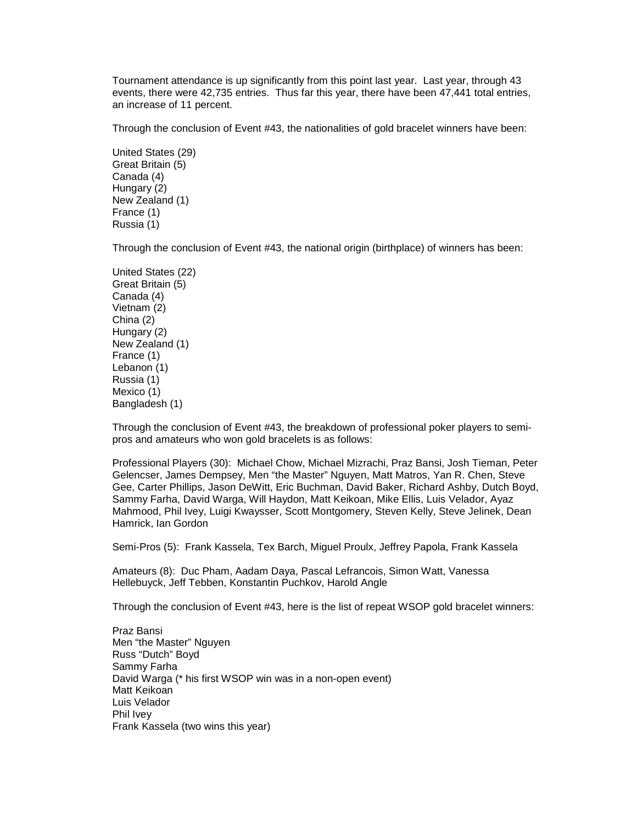Tournament attendance is up significantly from this point last year. Last year, through 43 events, there were 42,735 entries. Thus far this year, there have been 47,441 total entries, an increase of 11 percent.

Through the conclusion of Event #43, the nationalities of gold bracelet winners have been:

United States (29) Great Britain (5) Canada (4) Hungary (2) New Zealand (1) France (1) Russia (1)

Through the conclusion of Event #43, the national origin (birthplace) of winners has been:

United States (22) Great Britain (5) Canada (4) Vietnam (2) China (2) Hungary (2) New Zealand (1) France (1) Lebanon (1) Russia (1) Mexico (1) Bangladesh (1)

Through the conclusion of Event #43, the breakdown of professional poker players to semipros and amateurs who won gold bracelets is as follows:

Professional Players (30): Michael Chow, Michael Mizrachi, Praz Bansi, Josh Tieman, Peter Gelencser, James Dempsey, Men "the Master" Nguyen, Matt Matros, Yan R. Chen, Steve Gee, Carter Phillips, Jason DeWitt, Eric Buchman, David Baker, Richard Ashby, Dutch Boyd, Sammy Farha, David Warga, Will Haydon, Matt Keikoan, Mike Ellis, Luis Velador, Ayaz Mahmood, Phil Ivey, Luigi Kwaysser, Scott Montgomery, Steven Kelly, Steve Jelinek, Dean Hamrick, Ian Gordon

Semi-Pros (5): Frank Kassela, Tex Barch, Miguel Proulx, Jeffrey Papola, Frank Kassela

Amateurs (8): Duc Pham, Aadam Daya, Pascal Lefrancois, Simon Watt, Vanessa Hellebuyck, Jeff Tebben, Konstantin Puchkov, Harold Angle

Through the conclusion of Event #43, here is the list of repeat WSOP gold bracelet winners:

Praz Bansi Men "the Master" Nguyen Russ "Dutch" Boyd Sammy Farha David Warga (\* his first WSOP win was in a non-open event) Matt Keikoan Luis Velador Phil Ivey Frank Kassela (two wins this year)